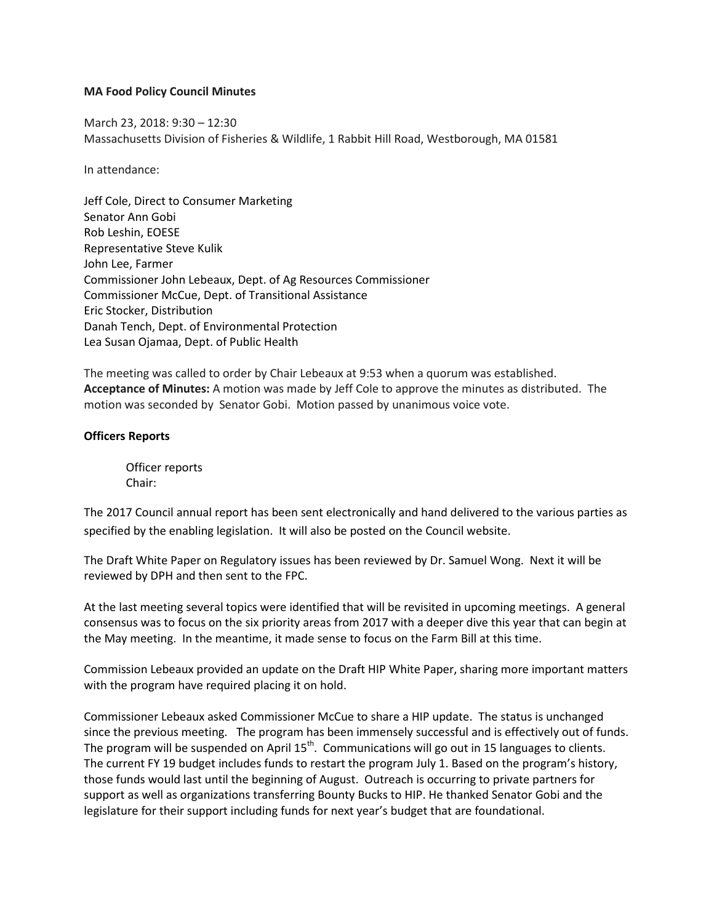## **MA Food Policy Council Minutes**

March 23, 2018: 9:30 – 12:30 Massachusetts Division of Fisheries & Wildlife, 1 Rabbit Hill Road, Westborough, MA 01581

In attendance:

Jeff Cole, Direct to Consumer Marketing Senator Ann Gobi Rob Leshin, EOESE Representative Steve Kulik John Lee, Farmer Commissioner John Lebeaux, Dept. of Ag Resources Commissioner Commissioner McCue, Dept. of Transitional Assistance Eric Stocker, Distribution Danah Tench, Dept. of Environmental Protection Lea Susan Ojamaa, Dept. of Public Health

The meeting was called to order by Chair Lebeaux at 9:53 when a quorum was established. **Acceptance of Minutes:** A motion was made by Jeff Cole to approve the minutes as distributed. The motion was seconded by Senator Gobi. Motion passed by unanimous voice vote.

# **Officers Reports**

Officer reports Chair:

The 2017 Council annual report has been sent electronically and hand delivered to the various parties as specified by the enabling legislation. It will also be posted on the Council website.

The Draft White Paper on Regulatory issues has been reviewed by Dr. Samuel Wong. Next it will be reviewed by DPH and then sent to the FPC.

At the last meeting several topics were identified that will be revisited in upcoming meetings. A general consensus was to focus on the six priority areas from 2017 with a deeper dive this year that can begin at the May meeting. In the meantime, it made sense to focus on the Farm Bill at this time.

Commission Lebeaux provided an update on the Draft HIP White Paper, sharing more important matters with the program have required placing it on hold.

Commissioner Lebeaux asked Commissioner McCue to share a HIP update. The status is unchanged since the previous meeting. The program has been immensely successful and is effectively out of funds. The program will be suspended on April 15<sup>th</sup>. Communications will go out in 15 languages to clients. The current FY 19 budget includes funds to restart the program July 1. Based on the program's history, those funds would last until the beginning of August. Outreach is occurring to private partners for support as well as organizations transferring Bounty Bucks to HIP. He thanked Senator Gobi and the legislature for their support including funds for next year's budget that are foundational.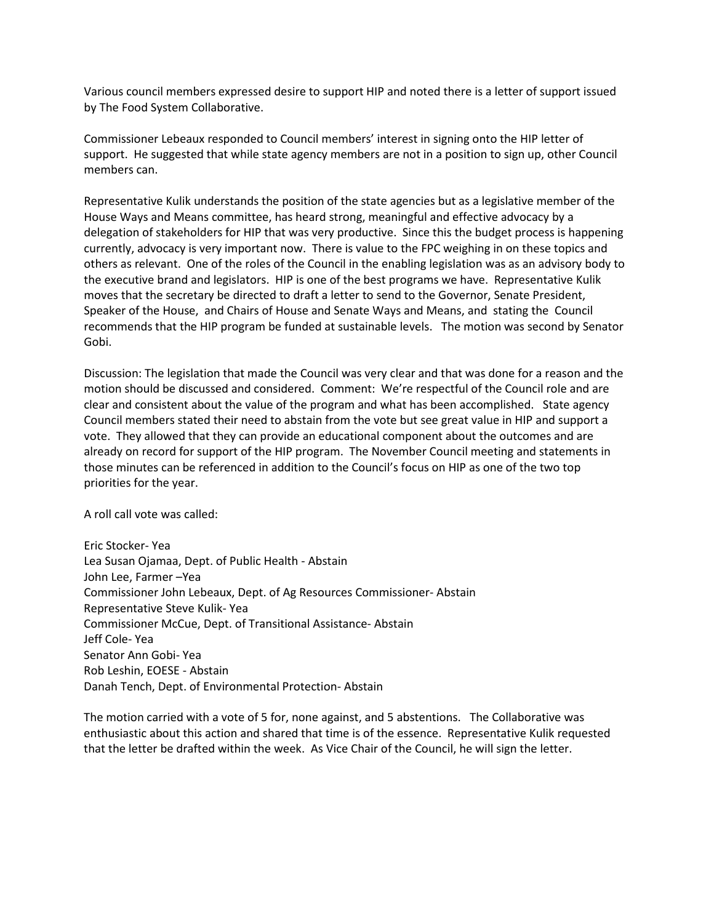Various council members expressed desire to support HIP and noted there is a letter of support issued by The Food System Collaborative.

Commissioner Lebeaux responded to Council members' interest in signing onto the HIP letter of support. He suggested that while state agency members are not in a position to sign up, other Council members can.

Representative Kulik understands the position of the state agencies but as a legislative member of the House Ways and Means committee, has heard strong, meaningful and effective advocacy by a delegation of stakeholders for HIP that was very productive. Since this the budget process is happening currently, advocacy is very important now. There is value to the FPC weighing in on these topics and others as relevant. One of the roles of the Council in the enabling legislation was as an advisory body to the executive brand and legislators. HIP is one of the best programs we have. Representative Kulik moves that the secretary be directed to draft a letter to send to the Governor, Senate President, Speaker of the House, and Chairs of House and Senate Ways and Means, and stating the Council recommends that the HIP program be funded at sustainable levels. The motion was second by Senator Gobi.

Discussion: The legislation that made the Council was very clear and that was done for a reason and the motion should be discussed and considered. Comment: We're respectful of the Council role and are clear and consistent about the value of the program and what has been accomplished. State agency Council members stated their need to abstain from the vote but see great value in HIP and support a vote. They allowed that they can provide an educational component about the outcomes and are already on record for support of the HIP program. The November Council meeting and statements in those minutes can be referenced in addition to the Council's focus on HIP as one of the two top priorities for the year.

A roll call vote was called:

Eric Stocker- Yea Lea Susan Ojamaa, Dept. of Public Health - Abstain John Lee, Farmer –Yea Commissioner John Lebeaux, Dept. of Ag Resources Commissioner- Abstain Representative Steve Kulik- Yea Commissioner McCue, Dept. of Transitional Assistance- Abstain Jeff Cole- Yea Senator Ann Gobi- Yea Rob Leshin, EOESE - Abstain Danah Tench, Dept. of Environmental Protection- Abstain

The motion carried with a vote of 5 for, none against, and 5 abstentions. The Collaborative was enthusiastic about this action and shared that time is of the essence. Representative Kulik requested that the letter be drafted within the week. As Vice Chair of the Council, he will sign the letter.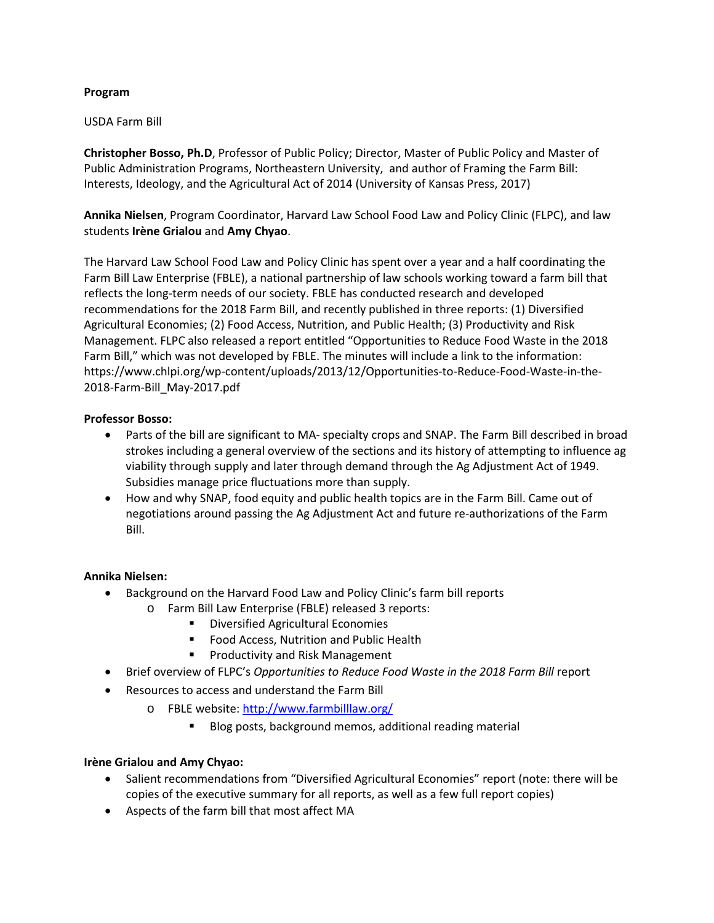# **Program**

## USDA Farm Bill

**Christopher Bosso, Ph.D**, Professor of Public Policy; Director, Master of Public Policy and Master of Public Administration Programs, Northeastern University, and author of Framing the Farm Bill: Interests, Ideology, and the Agricultural Act of 2014 (University of Kansas Press, 2017)

**Annika Nielsen**, Program Coordinator, Harvard Law School Food Law and Policy Clinic (FLPC), and law students **Irène Grialou** and **Amy Chyao**.

The Harvard Law School Food Law and Policy Clinic has spent over a year and a half coordinating the Farm Bill Law Enterprise (FBLE), a national partnership of law schools working toward a farm bill that reflects the long-term needs of our society. FBLE has conducted research and developed recommendations for the 2018 Farm Bill, and recently published in three reports: (1) Diversified Agricultural Economies; (2) Food Access, Nutrition, and Public Health; (3) Productivity and Risk Management. FLPC also released a report entitled "Opportunities to Reduce Food Waste in the 2018 Farm Bill," which was not developed by FBLE. The minutes will include a link to the information: https://www.chlpi.org/wp-content/uploads/2013/12/Opportunities-to-Reduce-Food-Waste-in-the-2018-Farm-Bill\_May-2017.pdf

# **Professor Bosso:**

- Parts of the bill are significant to MA- specialty crops and SNAP. The Farm Bill described in broad strokes including a general overview of the sections and its history of attempting to influence ag viability through supply and later through demand through the Ag Adjustment Act of 1949. Subsidies manage price fluctuations more than supply.
- How and why SNAP, food equity and public health topics are in the Farm Bill. Came out of negotiations around passing the Ag Adjustment Act and future re-authorizations of the Farm Bill.

# **Annika Nielsen:**

- Background on the Harvard Food Law and Policy Clinic's farm bill reports
	- o Farm Bill Law Enterprise (FBLE) released 3 reports:
		- **•** Diversified Agricultural Economies
		- **FILE** Food Access, Nutrition and Public Health
		- Productivity and Risk Management
- Brief overview of FLPC's *Opportunities to Reduce Food Waste in the 2018 Farm Bill* report
- Resources to access and understand the Farm Bill
	- o FBLE website:<http://www.farmbilllaw.org/>
		- Blog posts, background memos, additional reading material

# **Irène Grialou and Amy Chyao:**

- Salient recommendations from "Diversified Agricultural Economies" report (note: there will be copies of the executive summary for all reports, as well as a few full report copies)
- Aspects of the farm bill that most affect MA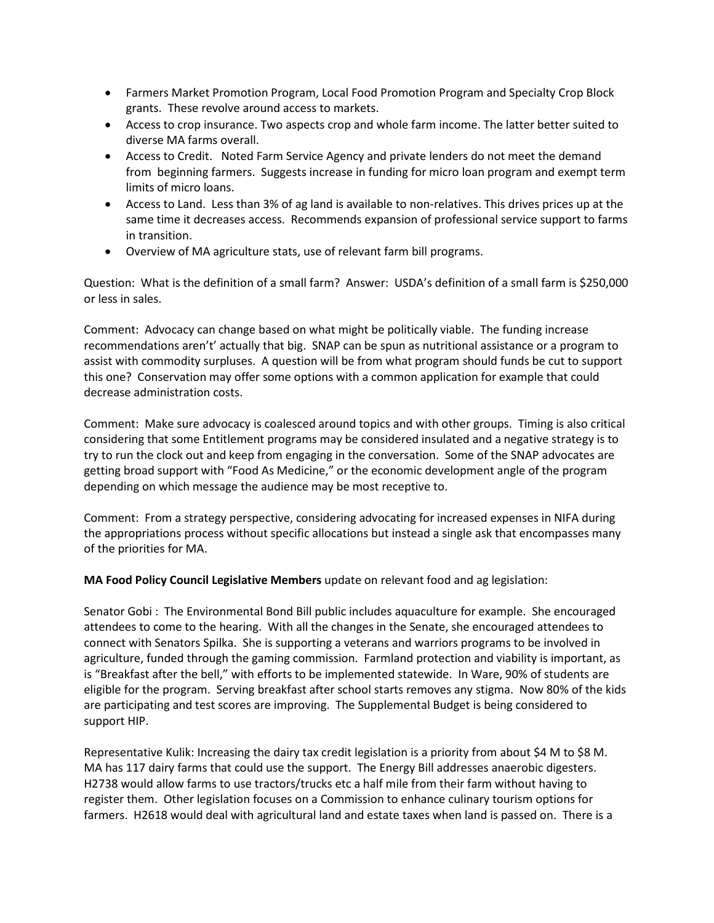- Farmers Market Promotion Program, Local Food Promotion Program and Specialty Crop Block grants. These revolve around access to markets.
- Access to crop insurance. Two aspects crop and whole farm income. The latter better suited to diverse MA farms overall.
- Access to Credit. Noted Farm Service Agency and private lenders do not meet the demand from beginning farmers. Suggests increase in funding for micro loan program and exempt term limits of micro loans.
- Access to Land. Less than 3% of ag land is available to non-relatives. This drives prices up at the same time it decreases access. Recommends expansion of professional service support to farms in transition.
- Overview of MA agriculture stats, use of relevant farm bill programs.

Question: What is the definition of a small farm? Answer: USDA's definition of a small farm is \$250,000 or less in sales.

Comment: Advocacy can change based on what might be politically viable. The funding increase recommendations aren't' actually that big. SNAP can be spun as nutritional assistance or a program to assist with commodity surpluses. A question will be from what program should funds be cut to support this one? Conservation may offer some options with a common application for example that could decrease administration costs.

Comment: Make sure advocacy is coalesced around topics and with other groups. Timing is also critical considering that some Entitlement programs may be considered insulated and a negative strategy is to try to run the clock out and keep from engaging in the conversation. Some of the SNAP advocates are getting broad support with "Food As Medicine," or the economic development angle of the program depending on which message the audience may be most receptive to.

Comment: From a strategy perspective, considering advocating for increased expenses in NIFA during the appropriations process without specific allocations but instead a single ask that encompasses many of the priorities for MA.

**MA Food Policy Council Legislative Members** update on relevant food and ag legislation:

Senator Gobi : The Environmental Bond Bill public includes aquaculture for example. She encouraged attendees to come to the hearing. With all the changes in the Senate, she encouraged attendees to connect with Senators Spilka. She is supporting a veterans and warriors programs to be involved in agriculture, funded through the gaming commission. Farmland protection and viability is important, as is "Breakfast after the bell," with efforts to be implemented statewide. In Ware, 90% of students are eligible for the program. Serving breakfast after school starts removes any stigma. Now 80% of the kids are participating and test scores are improving. The Supplemental Budget is being considered to support HIP.

Representative Kulik: Increasing the dairy tax credit legislation is a priority from about \$4 M to \$8 M. MA has 117 dairy farms that could use the support. The Energy Bill addresses anaerobic digesters. H2738 would allow farms to use tractors/trucks etc a half mile from their farm without having to register them. Other legislation focuses on a Commission to enhance culinary tourism options for farmers. H2618 would deal with agricultural land and estate taxes when land is passed on. There is a